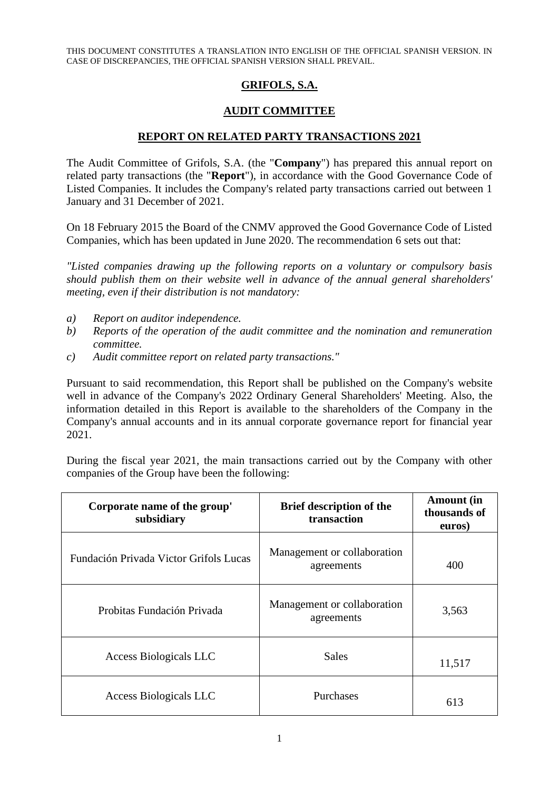THIS DOCUMENT CONSTITUTES A TRANSLATION INTO ENGLISH OF THE OFFICIAL SPANISH VERSION. IN CASE OF DISCREPANCIES, THE OFFICIAL SPANISH VERSION SHALL PREVAIL.

## **GRIFOLS, S.A.**

## **AUDIT COMMITTEE**

## **REPORT ON RELATED PARTY TRANSACTIONS 2021**

The Audit Committee of Grifols, S.A. (the "**Company**") has prepared this annual report on related party transactions (the "**Report**"), in accordance with the Good Governance Code of Listed Companies. It includes the Company's related party transactions carried out between 1 January and 31 December of 2021.

On 18 February 2015 the Board of the CNMV approved the Good Governance Code of Listed Companies, which has been updated in June 2020. The recommendation 6 sets out that:

*"Listed companies drawing up the following reports on a voluntary or compulsory basis should publish them on their website well in advance of the annual general shareholders' meeting, even if their distribution is not mandatory:*

- *a) Report on auditor independence.*
- *b) Reports of the operation of the audit committee and the nomination and remuneration committee.*
- *c) Audit committee report on related party transactions."*

Pursuant to said recommendation, this Report shall be published on the Company's website well in advance of the Company's 2022 Ordinary General Shareholders' Meeting. Also, the information detailed in this Report is available to the shareholders of the Company in the Company's annual accounts and in its annual corporate governance report for financial year 2021.

During the fiscal year 2021, the main transactions carried out by the Company with other companies of the Group have been the following:

| Corporate name of the group'<br>subsidiary | <b>Brief description of the</b><br>transaction | <b>Amount</b> (in<br>thousands of<br>euros) |
|--------------------------------------------|------------------------------------------------|---------------------------------------------|
| Fundación Privada Victor Grifols Lucas     | Management or collaboration<br>agreements      | 400                                         |
| Probitas Fundación Privada                 | Management or collaboration<br>agreements      | 3,563                                       |
| Access Biologicals LLC                     | <b>Sales</b>                                   | 11,517                                      |
| <b>Access Biologicals LLC</b>              | Purchases                                      | 613                                         |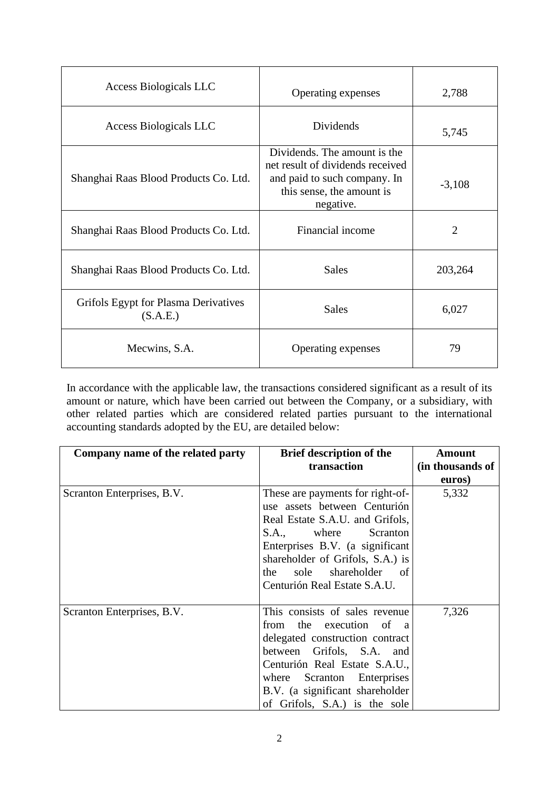| <b>Access Biologicals LLC</b>                    | Operating expenses                                                                                                                         | 2,788          |
|--------------------------------------------------|--------------------------------------------------------------------------------------------------------------------------------------------|----------------|
| Access Biologicals LLC                           | Dividends                                                                                                                                  | 5,745          |
| Shanghai Raas Blood Products Co. Ltd.            | Dividends. The amount is the<br>net result of dividends received<br>and paid to such company. In<br>this sense, the amount is<br>negative. | $-3,108$       |
| Shanghai Raas Blood Products Co. Ltd.            | Financial income                                                                                                                           | $\overline{2}$ |
| Shanghai Raas Blood Products Co. Ltd.            | <b>Sales</b>                                                                                                                               | 203,264        |
| Grifols Egypt for Plasma Derivatives<br>(S.A.E.) | <b>Sales</b>                                                                                                                               | 6,027          |
| Mecwins, S.A.                                    | Operating expenses                                                                                                                         | 79             |

In accordance with the applicable law, the transactions considered significant as a result of its amount or nature, which have been carried out between the Company, or a subsidiary, with other related parties which are considered related parties pursuant to the international accounting standards adopted by the EU, are detailed below:

| Company name of the related party | <b>Brief description of the</b><br>transaction                                                                                                                                                                                                                                 | <b>Amount</b><br>(in thousands of<br>euros) |
|-----------------------------------|--------------------------------------------------------------------------------------------------------------------------------------------------------------------------------------------------------------------------------------------------------------------------------|---------------------------------------------|
| Scranton Enterprises, B.V.        | These are payments for right-of-<br>use assets between Centurión<br>Real Estate S.A.U. and Grifols,<br>S.A., where Scranton<br>Enterprises B.V. (a significant<br>shareholder of Grifols, S.A.) is<br>sole shareholder<br>the<br><sub>of</sub><br>Centurión Real Estate S.A.U. | 5,332                                       |
| Scranton Enterprises, B.V.        | This consists of sales revenue<br>from the execution of a<br>delegated construction contract<br>between Grifols, S.A. and<br>Centurión Real Estate S.A.U.,<br>where Scranton Enterprises<br>B.V. (a significant shareholder<br>of Grifols, S.A.) is the sole                   | 7,326                                       |